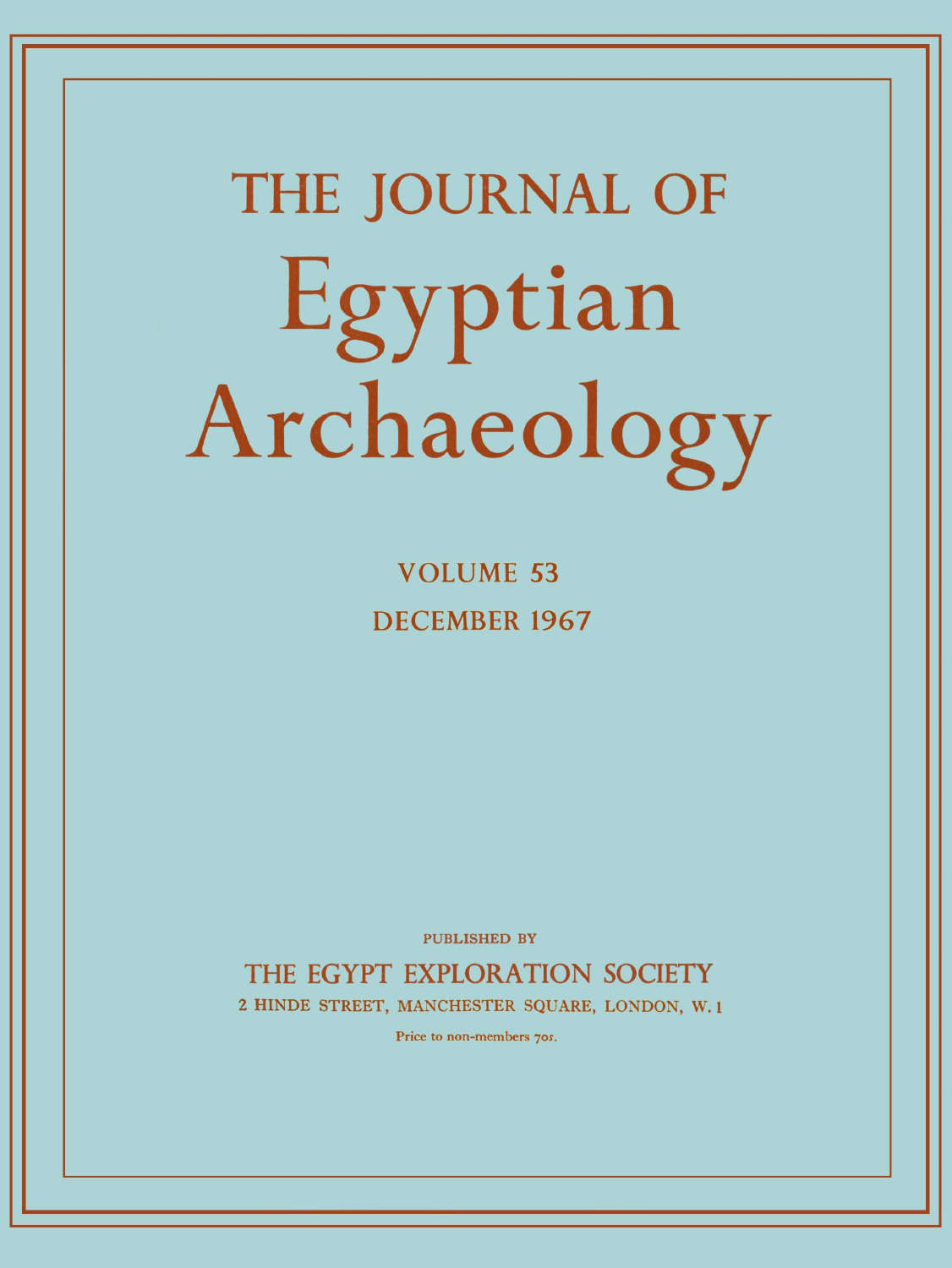# **THE JOURNAL OF**  Egyptian Archaeology

**VOLUME 53 DECEMBER 196 7** 

PUBLISHED BY

**THE EGYPT EXPLORATION SOCIETY** 

**2 HINDE STREET, MANCHESTER SQUARE, LONDON, W. 1** 

Price to non-members *70s.*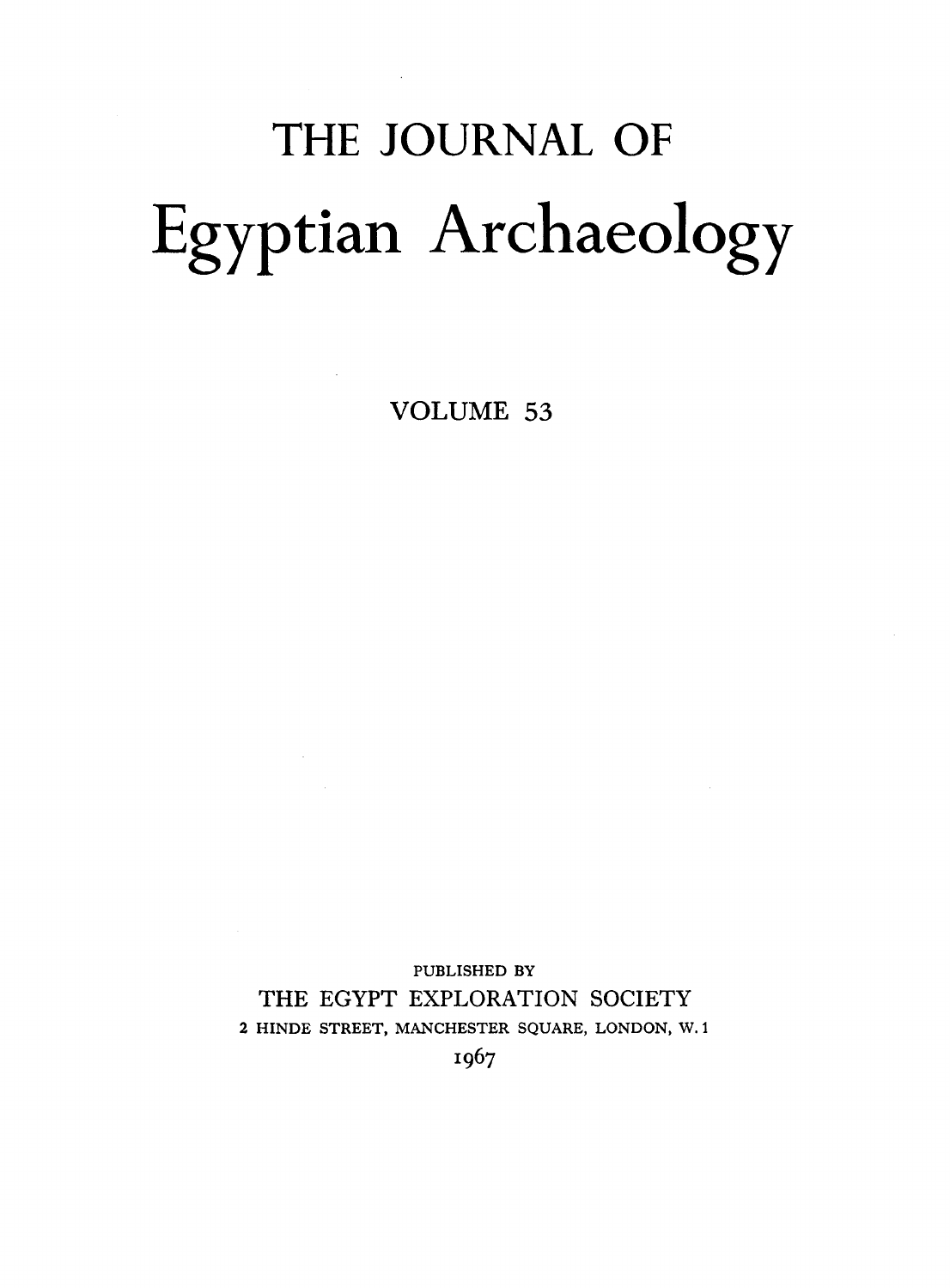## THE JOURNAL OF Egyptian Archaeology

VOLUME 53

PUBLISHED BY THE EGYPT EXPLORATION SOCIETY 2 HINDE STREET, MANCHESTER SQUARE, LONDON, W.1 I967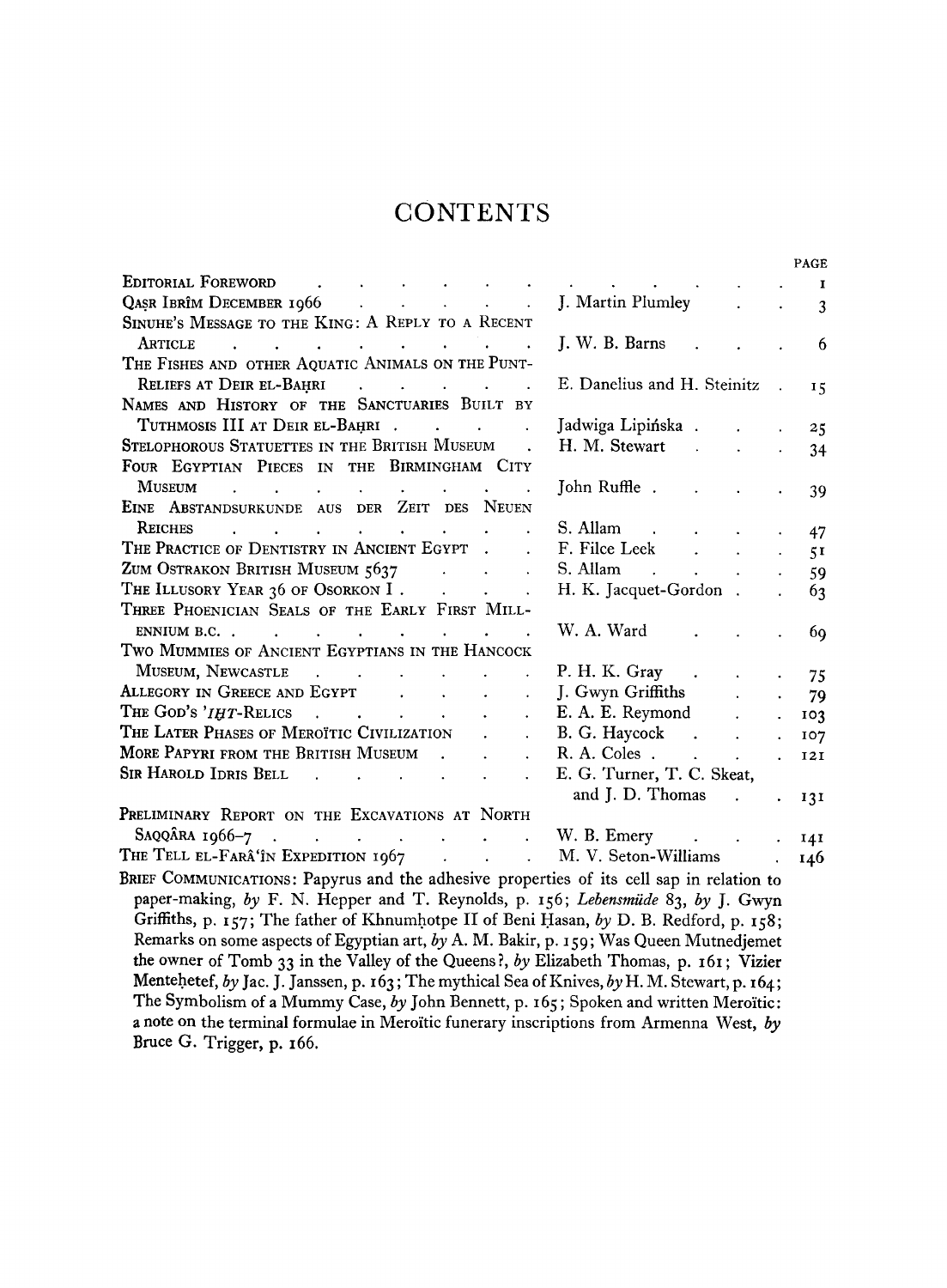#### **CONTENTS**

|                                                                                                                                                                                                                                                                                                                                               |                                                                                                                                        |                      | PAGE                                              |
|-----------------------------------------------------------------------------------------------------------------------------------------------------------------------------------------------------------------------------------------------------------------------------------------------------------------------------------------------|----------------------------------------------------------------------------------------------------------------------------------------|----------------------|---------------------------------------------------|
| EDITORIAL FOREWORD<br>and the state of the state of the<br><b>Contract Contract</b>                                                                                                                                                                                                                                                           | the contract of the contract of                                                                                                        |                      | $\mathbf{I}$                                      |
|                                                                                                                                                                                                                                                                                                                                               | J. Martin Plumley<br>$\mathcal{L}^{\text{max}}$                                                                                        |                      | $\mathbf{3}$                                      |
| SINUHE'S MESSAGE TO THE KING: A REPLY TO A RECENT                                                                                                                                                                                                                                                                                             |                                                                                                                                        |                      |                                                   |
| ARTICLE<br>$\mathcal{L}(\mathbf{r}) = \mathcal{L}(\mathbf{r}) = \mathcal{L}(\mathbf{r}) = \mathcal{L}(\mathbf{r}) = \mathcal{L}(\mathbf{r}) = \mathcal{L}(\mathbf{r}) = \mathcal{L}(\mathbf{r}) = \mathcal{L}(\mathbf{r})$                                                                                                                    | J. W. B. Barns                                                                                                                         |                      | 6                                                 |
| THE FISHES AND OTHER AQUATIC ANIMALS ON THE PUNT-                                                                                                                                                                                                                                                                                             |                                                                                                                                        |                      |                                                   |
| RELIEFS AT DEIR EL-BAHRI<br>$\mathcal{A}^{\mathcal{A}}$ , and $\mathcal{A}^{\mathcal{A}}$ , and $\mathcal{A}^{\mathcal{A}}$ , and $\mathcal{A}^{\mathcal{A}}$                                                                                                                                                                                 | E. Danelius and H. Steinitz                                                                                                            | $\ddot{\phantom{a}}$ | 15                                                |
| NAMES AND HISTORY OF THE SANCTUARIES BUILT BY                                                                                                                                                                                                                                                                                                 |                                                                                                                                        |                      |                                                   |
| TUTHMOSIS III AT DEIR EL-BAHRI                                                                                                                                                                                                                                                                                                                | Jadwiga Lipińska.<br>$\mathbf{r}$                                                                                                      | $\ddot{\phantom{a}}$ | 25                                                |
| STELOPHOROUS STATUETTES IN THE BRITISH MUSEUM.                                                                                                                                                                                                                                                                                                |                                                                                                                                        | $\ddot{\phantom{a}}$ | 34                                                |
| FOUR EGYPTIAN PIECES IN THE BIRMINGHAM CITY                                                                                                                                                                                                                                                                                                   |                                                                                                                                        |                      |                                                   |
| MUSEUM                                                                                                                                                                                                                                                                                                                                        |                                                                                                                                        | $\ddot{\phantom{a}}$ | 39                                                |
| EINE ABSTANDSURKUNDE AUS DER ZEIT DES NEUEN                                                                                                                                                                                                                                                                                                   |                                                                                                                                        |                      |                                                   |
| REICHES                                                                                                                                                                                                                                                                                                                                       |                                                                                                                                        |                      | 47<br>$\mathbf{a} = \mathbf{a} \times \mathbf{b}$ |
| THE PRACTICE OF DENTISTRY IN ANCIENT EGYPT .<br>$\mathbf{L}^{\text{max}}$                                                                                                                                                                                                                                                                     | F. Filce Leek<br>$\mathbf{r}^{\prime}$ , $\mathbf{r}^{\prime}$ , $\mathbf{r}^{\prime}$ , $\mathbf{r}^{\prime}$ , $\mathbf{r}^{\prime}$ |                      | 5 <sup>T</sup>                                    |
| ZUM OSTRAKON BRITISH MUSEUM 5637                                                                                                                                                                                                                                                                                                              | $S.$ Allam $\qquad \qquad$ . $\qquad \qquad$                                                                                           |                      | 59                                                |
| THE ILLUSORY YEAR 36 OF OSORKON I.<br>$\mathcal{L}(\mathcal{A})$ and $\mathcal{A}(\mathcal{A})$ and $\mathcal{A}(\mathcal{A})$                                                                                                                                                                                                                | H. K. Jacquet-Gordon.                                                                                                                  | $\ddot{\phantom{a}}$ | 63                                                |
| THREE PHOENICIAN SEALS OF THE EARLY FIRST MILL-                                                                                                                                                                                                                                                                                               |                                                                                                                                        |                      |                                                   |
| ENNIUM B.C.<br>$\mathcal{L}(\mathbf{r})$ , and $\mathcal{L}(\mathbf{r})$ , and $\mathcal{L}(\mathbf{r})$<br>$\mathbf{r}$ , and $\mathbf{r}$ , and $\mathbf{r}$ , and $\mathbf{r}$                                                                                                                                                             | W. A. Ward<br>$\sim 10^{11}$ m $^{-1}$                                                                                                 |                      | <b>69</b>                                         |
| TWO MUMMIES OF ANCIENT EGYPTIANS IN THE HANCOCK                                                                                                                                                                                                                                                                                               |                                                                                                                                        |                      |                                                   |
| MUSEUM, NEWCASTLE<br>$\mathbb{Z}^2$                                                                                                                                                                                                                                                                                                           | P. H. K. Gray<br>$\Delta \sim 10^{-10}$                                                                                                |                      | $\cdot$ 75                                        |
|                                                                                                                                                                                                                                                                                                                                               | J. Gwyn Griffiths<br>$\mathbf{L}$                                                                                                      |                      | $\mathcal{L}^{\text{max}}$<br>-79                 |
| The God's ' $I\#T$ -Relics<br>$\ddot{\phantom{a}}$                                                                                                                                                                                                                                                                                            | E. A. E. Reymond .                                                                                                                     | $\mathbf{r}$         | 103                                               |
| THE LATER PHASES OF MEROÏTIC CIVILIZATION .                                                                                                                                                                                                                                                                                                   |                                                                                                                                        |                      | 107                                               |
| <b>MORE PAPYRI FROM THE BRITISH MUSEUM</b><br>$\ddot{\phantom{0}}$                                                                                                                                                                                                                                                                            | R. A. Coles                                                                                                                            |                      | 12I                                               |
|                                                                                                                                                                                                                                                                                                                                               | E. G. Turner, T. C. Skeat,                                                                                                             |                      |                                                   |
|                                                                                                                                                                                                                                                                                                                                               | and J. D. Thomas .                                                                                                                     |                      | $-131$                                            |
| PRELIMINARY REPORT ON THE EXCAVATIONS AT NORTH                                                                                                                                                                                                                                                                                                |                                                                                                                                        |                      |                                                   |
| SAQQÂRA 1966-7.<br><b>Example 2</b> is a contract to the contract with B. Emery in the contract of the contract of the contract of the contract of the contract of the contract of the contract of the contract of the contract of the contract of the                                                                                        |                                                                                                                                        | $\bullet$            | 14I                                               |
| THE TELL EL-FARÂ'ÎN EXPEDITION 1967 M. V. Seton-Williams                                                                                                                                                                                                                                                                                      |                                                                                                                                        |                      | 146                                               |
| $\overline{a}$ and $\overline{a}$ and $\overline{a}$ and $\overline{a}$ and $\overline{a}$ and $\overline{a}$ and $\overline{a}$ and $\overline{a}$ and $\overline{a}$ and $\overline{a}$ and $\overline{a}$ and $\overline{a}$ and $\overline{a}$ and $\overline{a}$ and $\overline{a}$ and $\overline{a}$ and $\overline{a}$ and<br>$T = -$ | the contract of the contract of                                                                                                        |                      |                                                   |

**B**RIEF **C**OMMUNICATIONS**: Papyrus and the adhesive properties of its cell sap in relation to paper-making,** *by* **F . N . Hepper and T. Reynolds, p.** 156 ; *Lebensmiide* 83, *by* **J. Gwyn Griffiths, p.** 157 ; **The father of Khnumhotpe II of Beni Hasan,** *by* **D. B. Redford, p.** 158 ; **Remarks on some aspects of Egyptian art,** *by* **A. M. Bakir, p.** 159 ; **Was Queen Mutnedjemet the owner of Tomb** 33 **in the Valley of the Queens?,** *by* **Elizabeth Thomas, p.** 161 **; Vizier Mentehetef,** *by* **Jac. J. Janssen, p.** 163**; The mythical Sea of Knives,** *by* **H. M. Stewart, p.** 164; **The Symbolism of a Mummy Case,** *by* **John Bennett, p.** 165 **; Spoken and written Meroitic: a note on the terminal formulae in Meroitic funerary inscriptions from Armenna West,** *by*  **Bruce G. Trigger, p.** 166.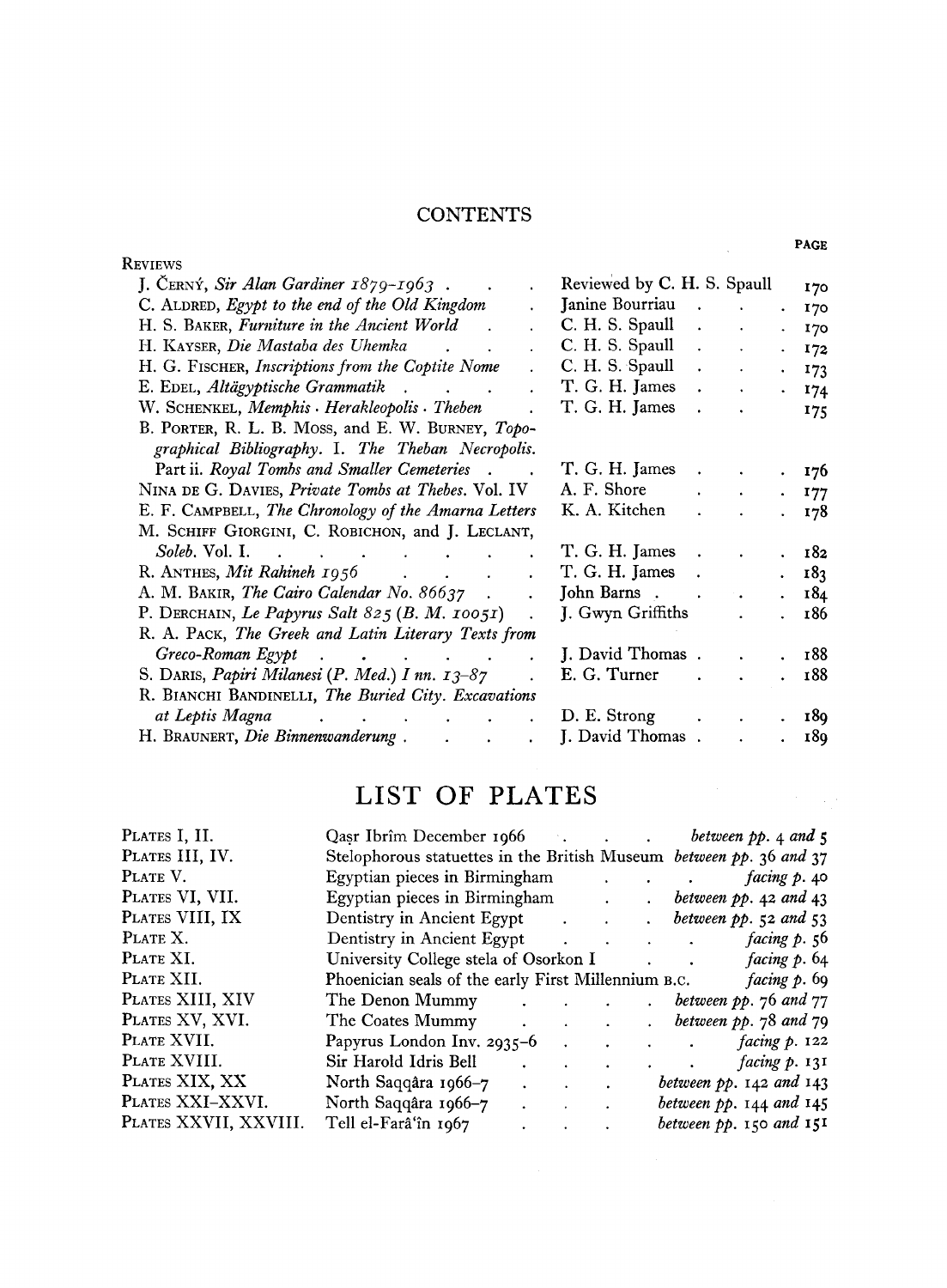#### **CONTENTS**

| <b>REVIEWS</b>                                                                                                               |                             |                      |                      |             | . nur           |
|------------------------------------------------------------------------------------------------------------------------------|-----------------------------|----------------------|----------------------|-------------|-----------------|
| J. CERNÝ, Sir Alan Gardiner 1879-1963.<br>$\ddot{\phantom{0}}$                                                               | Reviewed by C. H. S. Spaull |                      |                      |             | 170             |
| C. ALDRED, Egypt to the end of the Old Kingdom                                                                               | Janine Bourriau             |                      |                      |             | 170             |
| H. S. BAKER, Furniture in the Ancient World<br>$\mathbb{R}^2$                                                                | C. H. S. Spaull             | $\ddot{\phantom{a}}$ |                      |             | 170             |
| H. KAYSER, Die Mastaba des Uhemka<br>$\ddot{\phantom{0}}$                                                                    | C. H. S. Spaull             | $\ddot{\phantom{a}}$ |                      |             | 172             |
| H. G. FISCHER, Inscriptions from the Coptite Nome                                                                            | C. H. S. Spaull             | $\bullet$            |                      | $\sim$      | 173             |
| E. EDEL, Altägyptische Grammatik.<br>and the state of the state of                                                           | T. G. H. James              | $\mathbf{A}$         | $\ddot{\phantom{0}}$ |             | . 174           |
| W. SCHENKEL, Memphis · Herakleopolis · Theben                                                                                | T. G. H. James              | $\sim$ $\sim$        |                      |             | 175             |
| B. PORTER, R. L. B. MOSS, and E. W. BURNEY, Topo-                                                                            |                             |                      |                      |             |                 |
| graphical Bibliography. I. The Theban Necropolis.                                                                            |                             |                      |                      |             |                 |
| Part ii. Royal Tombs and Smaller Cemeteries.                                                                                 | T. G. H. James              | $\bullet$            |                      |             | . 176           |
| NINA DE G. DAVIES, Private Tombs at Thebes. Vol. IV                                                                          | A. F. Shore                 |                      | $\blacksquare$       | $\bullet$ . | 177             |
| E. F. CAMPBELL, The Chronology of the Amarna Letters                                                                         | K. A. Kitchen               |                      |                      |             | 178             |
| M. SCHIFF GIORGINI, C. ROBICHON, and J. LECLANT,                                                                             |                             |                      |                      |             |                 |
| <i>Soleb.</i> Vol. I.<br>$\mathbf{r} = \mathbf{r} \cdot \mathbf{r}$ , where $\mathbf{r} = \mathbf{r} \cdot \mathbf{r}$       | T. G. H. James              |                      |                      |             | 182             |
| R. ANTHES, Mit Rahineh 1956<br>and the contract of the                                                                       | T. G. H. James              | $\sim$               |                      |             | 18 <sub>3</sub> |
| A. M. BAKIR, The Cairo Calendar No. 86637.                                                                                   | John Barns                  |                      |                      |             | 184             |
| P. DERCHAIN, Le Papyrus Salt 825 (B. M. 10051)                                                                               | J. Gwyn Griffiths           |                      |                      |             | 186             |
| R. A. PACK, The Greek and Latin Literary Texts from                                                                          |                             |                      |                      |             |                 |
| Greco-Roman Egypt<br>$\mathbf{r} = \mathbf{r} \cdot \mathbf{r}$ , where $\mathbf{r} = \mathbf{r} \cdot \mathbf{r}$<br>$\sim$ | J. David Thomas.            |                      |                      |             | 188             |
| S. DARIS, Papiri Milanesi (P. Med.) I nn. 13-87                                                                              | E. G. Turner                |                      |                      |             | 188             |
| R. BIANCHI BANDINELLI, The Buried City. Excavations                                                                          |                             |                      |                      |             |                 |
| at Leptis Magna<br>$\mathbf{r} = \mathbf{r}$                                                                                 | D. E. Strong                |                      |                      |             | 189             |
| H. BRAUNERT, Die Binnenwanderung.<br>$\ddot{\phantom{a}}$<br>$\ddot{\phantom{a}}$                                            | J. David Thomas.            |                      |                      |             | 189             |
|                                                                                                                              |                             |                      |                      |             |                 |

### LIST OF PLATES

| PLATES I, II.         | Qasr Ibrîm December 1966 between pp. 4 and 5                               |                                                                                       |                           |                             |
|-----------------------|----------------------------------------------------------------------------|---------------------------------------------------------------------------------------|---------------------------|-----------------------------|
| PLATES III, IV.       | Stelophorous statuettes in the British Museum <i>between pp.</i> 36 and 37 |                                                                                       |                           |                             |
| PLATE V.              | Egyptian pieces in Birmingham facing p. 40                                 |                                                                                       |                           |                             |
| PLATES VI, VII.       | Egyptian pieces in Birmingham .                                            |                                                                                       |                           | $.$ between pp. 42 and 43   |
| PLATES VIII, IX       |                                                                            |                                                                                       | $\mathbf{L}^{\text{max}}$ | between $pp.52$ and $53$    |
| PLATE X.              | Dentistry in Ancient Egypt                                                 |                                                                                       |                           | facing p. 56                |
| PLATE XI.             | University College stela of Osorkon I . facing p. 64                       |                                                                                       |                           |                             |
| PLATE XII.            | Phoenician seals of the early First Millennium B.C. $facing p. 69$         |                                                                                       |                           |                             |
| PLATES XIII, XIV      |                                                                            |                                                                                       |                           | between $pp.76$ and $77$    |
| PLATES XV, XVI.       | The Coates Mummy                                                           |                                                                                       |                           | between $pp.78$ and $79$    |
| PLATE XVII.           | Papyrus London Inv. 2935-6                                                 |                                                                                       |                           | facing p. 122               |
| PLATE XVIII.          | Sir Harold Idris Bell                                                      | $\ddot{\phantom{a}}$                                                                  |                           | <i>facing p.</i> 131        |
| PLATES XIX, XX        | North Saqqâra 1966-7                                                       | $\mathcal{L}(\mathbf{r})$ and $\mathcal{L}(\mathbf{r})$ and $\mathcal{L}(\mathbf{r})$ |                           | between $pp.$ 142 and 143   |
| PLATES XXI-XXVI.      | North Saqqâra 1966–7                                                       | $\ddot{\phantom{a}}$                                                                  |                           | between $pp. 144$ and $145$ |
| PLATES XXVII, XXVIII. | Tell el-Farâ'în 1967                                                       | $\ddot{\phantom{a}}$                                                                  |                           | between $pp.$ 150 and 151   |
|                       |                                                                            |                                                                                       |                           |                             |

PAGE